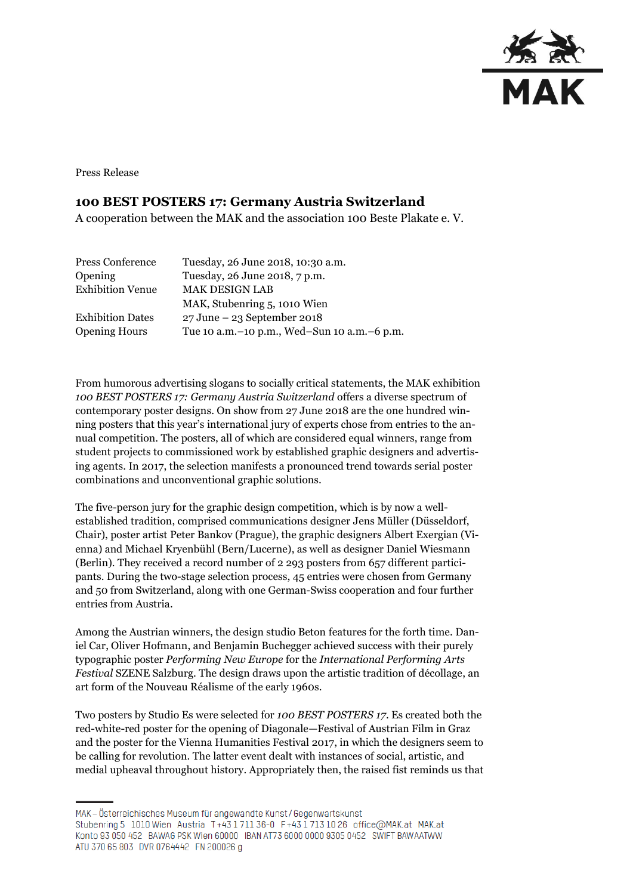

Press Release

## **100 BEST POSTERS 17: Germany Austria Switzerland**

A cooperation between the MAK and the association 100 Beste Plakate e. V.

| Press Conference        | Tuesday, 26 June 2018, 10:30 a.m.               |
|-------------------------|-------------------------------------------------|
| <b>Opening</b>          | Tuesday, 26 June 2018, 7 p.m.                   |
| <b>Exhibition Venue</b> | <b>MAK DESIGN LAB</b>                           |
|                         | MAK, Stubenring 5, 1010 Wien                    |
| <b>Exhibition Dates</b> | $27 \text{ June} - 23 \text{ September} 2018$   |
| <b>Opening Hours</b>    | Tue 10 a.m. - 10 p.m., Wed-Sun 10 a.m. - 6 p.m. |

From humorous advertising slogans to socially critical statements, the MAK exhibition *100 BEST POSTERS 17: Germany Austria Switzerland* offers a diverse spectrum of contemporary poster designs. On show from 27 June 2018 are the one hundred winning posters that this year's international jury of experts chose from entries to the annual competition. The posters, all of which are considered equal winners, range from student projects to commissioned work by established graphic designers and advertising agents. In 2017, the selection manifests a pronounced trend towards serial poster combinations and unconventional graphic solutions.

The five-person jury for the graphic design competition, which is by now a wellestablished tradition, comprised communications designer Jens Müller (Düsseldorf, Chair), poster artist Peter Bankov (Prague), the graphic designers Albert Exergian (Vienna) and Michael Kryenbühl (Bern/Lucerne), as well as designer Daniel Wiesmann (Berlin). They received a record number of 2 293 posters from 657 different participants. During the two-stage selection process, 45 entries were chosen from Germany and 50 from Switzerland, along with one German-Swiss cooperation and four further entries from Austria.

Among the Austrian winners, the design studio Beton features for the forth time. Daniel Car, Oliver Hofmann, and Benjamin Buchegger achieved success with their purely typographic poster *Performing New Europe* for the *International Performing Arts Festival* SZENE Salzburg. The design draws upon the artistic tradition of décollage, an art form of the Nouveau Réalisme of the early 1960s.

Two posters by Studio Es were selected for *100 BEST POSTERS 17*. Es created both the red-white-red poster for the opening of Diagonale—Festival of Austrian Film in Graz and the poster for the Vienna Humanities Festival 2017, in which the designers seem to be calling for revolution. The latter event dealt with instances of social, artistic, and medial upheaval throughout history. Appropriately then, the raised fist reminds us that

MAK-Österreichisches Museum für angewandte Kunst/Gegenwartskunst Stubenring 5 1010 Wien Austria T+43 1 711 36-0 F+43 1 713 10 26 office@MAK.at MAK.at Konto 93 050 452 BAWAG PSK Wien 60000 IBAN AT73 6000 0000 9305 0452 SWIFT BAWAATWW ATU 370 65 803 DVR 0764442 FN 200026 g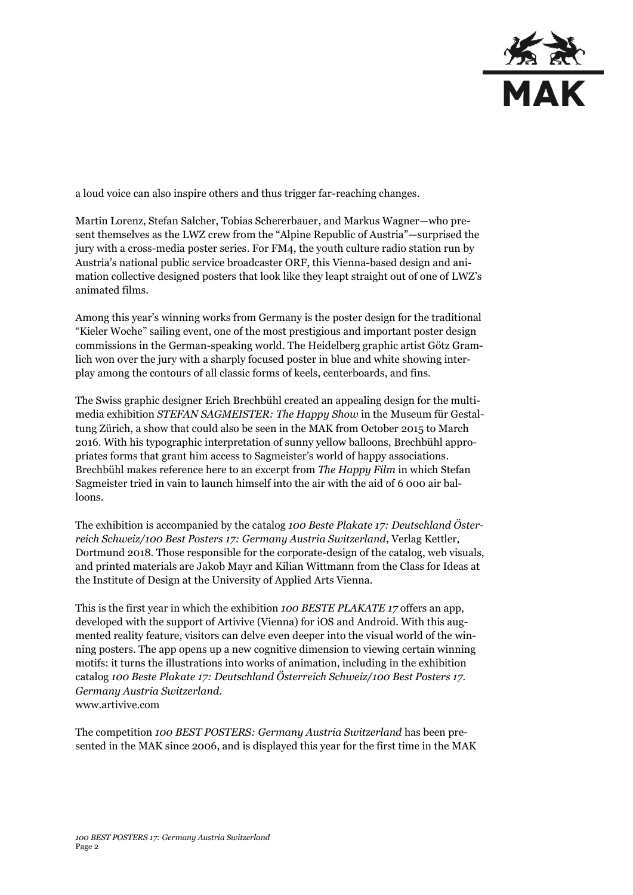

a loud voice can also inspire others and thus trigger far-reaching changes.

Martin Lorenz, Stefan Salcher, Tobias Schererbauer, and Markus Wagner—who present themselves as the LWZ crew from the "Alpine Republic of Austria"—surprised the jury with a cross-media poster series. For FM4, the youth culture radio station run by Austria's national public service broadcaster ORF, this Vienna-based design and animation collective designed posters that look like they leapt straight out of one of LWZ's animated films.

Among this year's winning works from Germany is the poster design for the traditional "Kieler Woche" sailing event, one of the most prestigious and important poster design commissions in the German-speaking world. The Heidelberg graphic artist Götz Gramlich won over the jury with a sharply focused poster in blue and white showing interplay among the contours of all classic forms of keels, centerboards, and fins.

The Swiss graphic designer Erich Brechbühl created an appealing design for the multimedia exhibition *STEFAN SAGMEISTER: The Happy Show* in the Museum für Gestaltung Zürich, a show that could also be seen in the MAK from October 2015 to March 2016. With his typographic interpretation of sunny yellow balloons, Brechbühl appropriates forms that grant him access to Sagmeister's world of happy associations. Brechbühl makes reference here to an excerpt from *The Happy Film* in which Stefan Sagmeister tried in vain to launch himself into the air with the aid of 6 000 air balloons.

The exhibition is accompanied by the catalog *100 Beste Plakate 17: Deutschland Österreich Schweiz/100 Best Posters 17: Germany Austria Switzerland*, Verlag Kettler, Dortmund 2018. Those responsible for the corporate-design of the catalog, web visuals, and printed materials are Jakob Mayr and Kilian Wittmann from the Class for Ideas at the Institute of Design at the University of Applied Arts Vienna.

This is the first year in which the exhibition *100 BESTE PLAKATE 17* offers an app, developed with the support of Artivive (Vienna) for iOS and Android. With this augmented reality feature, visitors can delve even deeper into the visual world of the winning posters. The app opens up a new cognitive dimension to viewing certain winning motifs: it turns the illustrations into works of animation, including in the exhibition catalog *100 Beste Plakate 17: Deutschland Österreich Schweiz/100 Best Posters 17. Germany Austria Switzerland*. www.artivive.com

The competition *100 BEST POSTERS: Germany Austria Switzerland* has been presented in the MAK since 2006, and is displayed this year for the first time in the MAK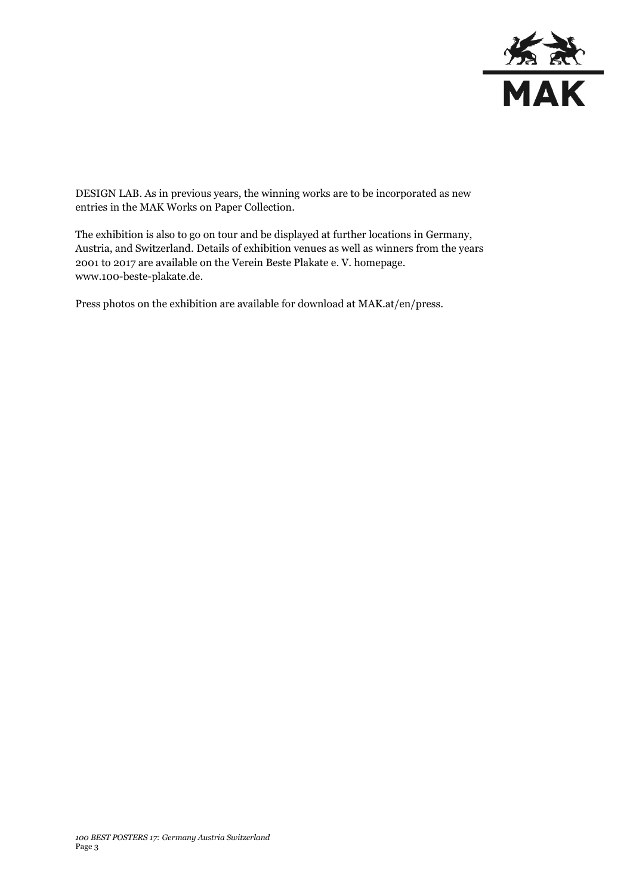

DESIGN LAB. As in previous years, the winning works are to be incorporated as new entries in the MAK Works on Paper Collection.

The exhibition is also to go on tour and be displayed at further locations in Germany, Austria, and Switzerland. Details of exhibition venues as well as winners from the years 2001 to 2017 are available on the Verein Beste Plakate e. V. homepage. www.100-beste-plakate.de.

Press photos on the exhibition are available for download at MAK.at/en/press.